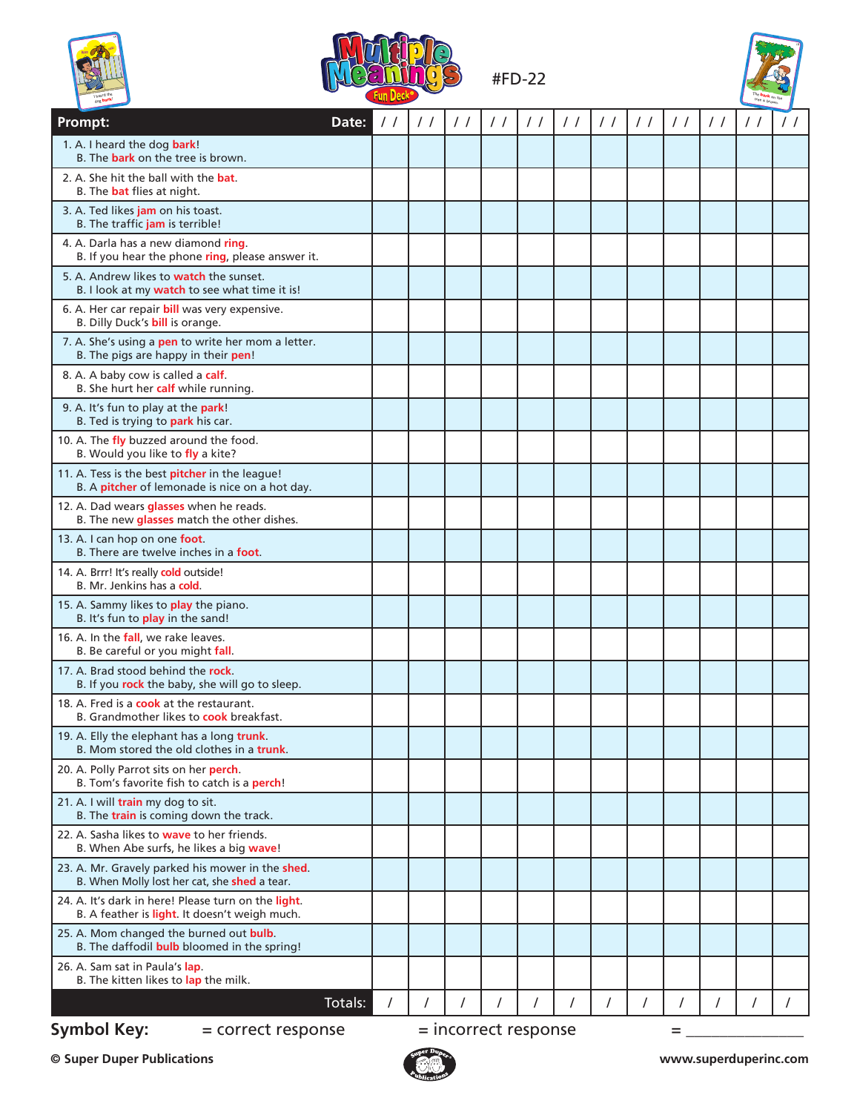





| dog bark                                                                                             |                        |               |               |               |                        |               |               |               |               |               |            |               |
|------------------------------------------------------------------------------------------------------|------------------------|---------------|---------------|---------------|------------------------|---------------|---------------|---------------|---------------|---------------|------------|---------------|
| Prompt:                                                                                              | Date:<br>$\frac{1}{2}$ | $\frac{1}{2}$ | $\frac{1}{2}$ | $\frac{1}{2}$ | $\frac{1}{2}$          | $\frac{1}{2}$ | $\frac{1}{2}$ | $\frac{1}{2}$ | $\frac{1}{2}$ | $\frac{1}{2}$ | $\prime$ / | $\frac{1}{2}$ |
| 1. A. I heard the dog bark!<br>B. The bark on the tree is brown.                                     |                        |               |               |               |                        |               |               |               |               |               |            |               |
| 2. A. She hit the ball with the <b>bat.</b><br>B. The <b>bat</b> flies at night.                     |                        |               |               |               |                        |               |               |               |               |               |            |               |
| 3. A. Ted likes jam on his toast.<br>B. The traffic jam is terrible!                                 |                        |               |               |               |                        |               |               |               |               |               |            |               |
| 4. A. Darla has a new diamond ring.<br>B. If you hear the phone ring, please answer it.              |                        |               |               |               |                        |               |               |               |               |               |            |               |
| 5. A. Andrew likes to watch the sunset.<br>B. I look at my watch to see what time it is!             |                        |               |               |               |                        |               |               |               |               |               |            |               |
| 6. A. Her car repair bill was very expensive.<br>B. Dilly Duck's <b>bill</b> is orange.              |                        |               |               |               |                        |               |               |               |               |               |            |               |
| 7. A. She's using a pen to write her mom a letter.<br>B. The pigs are happy in their pen!            |                        |               |               |               |                        |               |               |               |               |               |            |               |
| 8. A. A baby cow is called a calf.<br>B. She hurt her calf while running.                            |                        |               |               |               |                        |               |               |               |               |               |            |               |
| 9. A. It's fun to play at the park!<br>B. Ted is trying to park his car.                             |                        |               |               |               |                        |               |               |               |               |               |            |               |
| 10. A. The fly buzzed around the food.<br>B. Would you like to fly a kite?                           |                        |               |               |               |                        |               |               |               |               |               |            |               |
| 11. A. Tess is the best pitcher in the league!<br>B. A pitcher of lemonade is nice on a hot day.     |                        |               |               |               |                        |               |               |               |               |               |            |               |
| 12. A. Dad wears glasses when he reads.<br>B. The new glasses match the other dishes.                |                        |               |               |               |                        |               |               |               |               |               |            |               |
| 13. A. I can hop on one foot.<br>B. There are twelve inches in a <b>foot</b> .                       |                        |               |               |               |                        |               |               |               |               |               |            |               |
| 14. A. Brrr! It's really cold outside!<br>B. Mr. Jenkins has a cold.                                 |                        |               |               |               |                        |               |               |               |               |               |            |               |
| 15. A. Sammy likes to play the piano.<br>B. It's fun to play in the sand!                            |                        |               |               |               |                        |               |               |               |               |               |            |               |
| 16. A. In the fall, we rake leaves.<br>B. Be careful or you might fall.                              |                        |               |               |               |                        |               |               |               |               |               |            |               |
| 17. A. Brad stood behind the rock.<br>B. If you rock the baby, she will go to sleep.                 |                        |               |               |               |                        |               |               |               |               |               |            |               |
| 18. A. Fred is a <b>cook</b> at the restaurant.<br>B. Grandmother likes to cook breakfast.           |                        |               |               |               |                        |               |               |               |               |               |            |               |
| 19. A. Elly the elephant has a long trunk.<br>B. Mom stored the old clothes in a <b>trunk</b> .      |                        |               |               |               |                        |               |               |               |               |               |            |               |
| 20. A. Polly Parrot sits on her perch.<br>B. Tom's favorite fish to catch is a perch!                |                        |               |               |               |                        |               |               |               |               |               |            |               |
| 21. A. I will train my dog to sit.<br>B. The train is coming down the track.                         |                        |               |               |               |                        |               |               |               |               |               |            |               |
| 22. A. Sasha likes to <b>wave</b> to her friends.<br>B. When Abe surfs, he likes a big wave!         |                        |               |               |               |                        |               |               |               |               |               |            |               |
| 23. A. Mr. Gravely parked his mower in the shed.<br>B. When Molly lost her cat, she shed a tear.     |                        |               |               |               |                        |               |               |               |               |               |            |               |
| 24. A. It's dark in here! Please turn on the light.<br>B. A feather is light. It doesn't weigh much. |                        |               |               |               |                        |               |               |               |               |               |            |               |
| 25. A. Mom changed the burned out bulb.<br>B. The daffodil <b>bulb</b> bloomed in the spring!        |                        |               |               |               |                        |               |               |               |               |               |            |               |
| 26. A. Sam sat in Paula's lap.<br>B. The kitten likes to lap the milk.                               |                        |               |               |               |                        |               |               |               |               |               |            |               |
|                                                                                                      | Totals:<br>$\prime$    | $\prime$      |               |               |                        |               |               |               |               |               | $\prime$   |               |
| <b>Symbol Key:</b><br>= correct response                                                             |                        |               |               |               | $=$ incorrect response |               |               |               | =             |               |            |               |